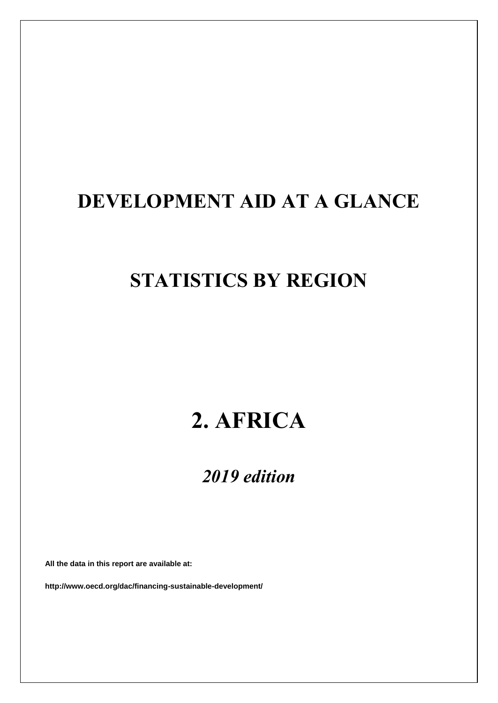## **DEVELOPMENT AID AT A GLANCE**

### **STATISTICS BY REGION**

# **2. AFRICA**

### *2019 edition*

**All the data in this report are available at:**

**http://www.oecd.org/dac/financing-sustainable-development/**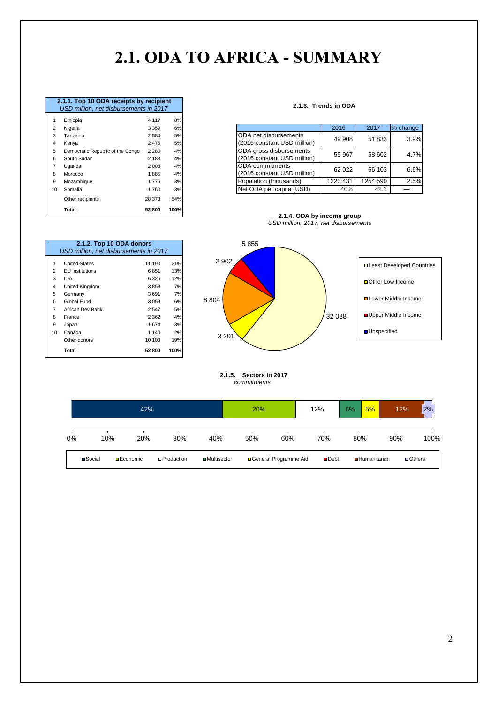### **2.1. ODA TO AFRICA - SUMMARY**

|                | 2.1.1. Top 10 ODA receipts by recipient |         |      |  |  |  |  |  |  |
|----------------|-----------------------------------------|---------|------|--|--|--|--|--|--|
|                | USD million, net disbursements in 2017  |         |      |  |  |  |  |  |  |
| 1              | Ethiopia                                | 4 1 1 7 | 8%   |  |  |  |  |  |  |
| 2              | Nigeria                                 | 3 3 5 9 | 6%   |  |  |  |  |  |  |
| 3              | Tanzania                                | 2584    | 5%   |  |  |  |  |  |  |
| 4              | Kenya                                   | 2 4 7 5 | 5%   |  |  |  |  |  |  |
| 5              | Democratic Republic of the Congo        | 2 2 8 0 | 4%   |  |  |  |  |  |  |
| 6              | South Sudan                             | 2 183   | 4%   |  |  |  |  |  |  |
| $\overline{7}$ | Uganda                                  | 2 0 0 8 | 4%   |  |  |  |  |  |  |
| 8              | Morocco                                 | 1885    | 4%   |  |  |  |  |  |  |
| 9              | Mozambique                              | 1776    | 3%   |  |  |  |  |  |  |
| 10             | Somalia                                 | 1760    | 3%   |  |  |  |  |  |  |
|                | Other recipients                        | 28 373  | 54%  |  |  |  |  |  |  |
|                | Total                                   | 52 800  | 100% |  |  |  |  |  |  |

#### **2.1.3. Trends in ODA**

|    | ------                           | .       | - - - |
|----|----------------------------------|---------|-------|
| 2  | Nigeria                          | 3 3 5 9 | 6%    |
| 3  | Tanzania                         | 2 5 8 4 | 5%    |
| 4  | Kenva                            | 2475    | 5%    |
| 5  | Democratic Republic of the Congo | 2 2 8 0 | 4%    |
| 6  | South Sudan                      | 2 1 8 3 | 4%    |
|    | Uganda                           | 2 0 0 8 | 4%    |
| 8  | Morocco                          | 1885    | 4%    |
| 9  | Mozambique                       | 1776    | 3%    |
| 10 | Somalia                          | 760     | 3%    |



|                | 2.1.2. Top 10 ODA donors<br>USD million, net disbursements in 2017 |         |      |
|----------------|--------------------------------------------------------------------|---------|------|
| 1              | <b>United States</b>                                               | 11 190  | 21%  |
| $\overline{2}$ | <b>EU</b> Institutions                                             | 6851    | 13%  |
| 3              | IDA                                                                | 6326    | 12%  |
| 4              | United Kingdom                                                     | 3858    | 7%   |
| 5              | Germany                                                            | 3691    | 7%   |
| 6              | Global Fund                                                        | 3059    | 6%   |
| 7              | African Dev Bank                                                   | 2547    | 5%   |
| 8              | France                                                             | 2 3 6 2 | 4%   |
| 9              | Japan                                                              | 1674    | 3%   |
| 10             | Canada                                                             | 1 140   | 2%   |
|                | Other donors                                                       | 10 103  | 19%  |
|                | Total                                                              | 52 800  | 100% |



#### **2.1.5. Sectors in 2017**  *commitments*

| 42%   |                 |                   |                    |                      | 20% |                         | 12%                 | 6%  | 5%                  | 12% | 2%            |
|-------|-----------------|-------------------|--------------------|----------------------|-----|-------------------------|---------------------|-----|---------------------|-----|---------------|
| $0\%$ | 10%             | 20%               | 30%                | 40%                  | 50% | 60%                     | 70%                 | 80% |                     | 90% | 100%          |
|       | <b>■</b> Social | <b>□</b> Economic | <b>OProduction</b> | <b>□</b> Multisector |     | □ General Programme Aid | $\blacksquare$ Debt |     | <b>Humanitarian</b> |     | $\Box$ Others |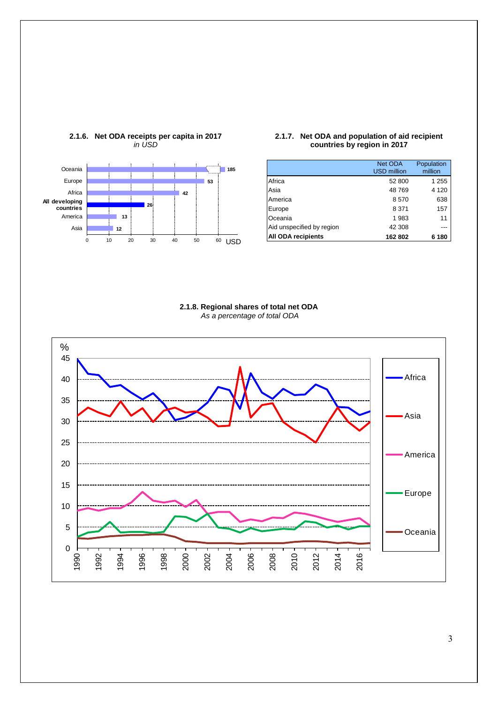

#### **2.1.6. Net ODA receipts per capita in 2017** *in USD*

#### **2.1.7. Net ODA and population of aid recipient countries by region in 2017**

|                           | Net ODA<br><b>USD</b> million | Population<br>million |
|---------------------------|-------------------------------|-----------------------|
| Africa                    | 52 800                        | 1 255                 |
| Asia                      | 48769                         | 4 1 2 0               |
| America                   | 8570                          | 638                   |
| Europe                    | 8 3 7 1                       | 157                   |
| Oceania                   | 1 983                         | 11                    |
| Aid unspecified by region | 42 308                        |                       |
| <b>All ODA recipients</b> | 162 802                       | 6 180                 |

#### **2.1.8. Regional shares of total net ODA** *As a percentage of total ODA*

<span id="page-2-0"></span>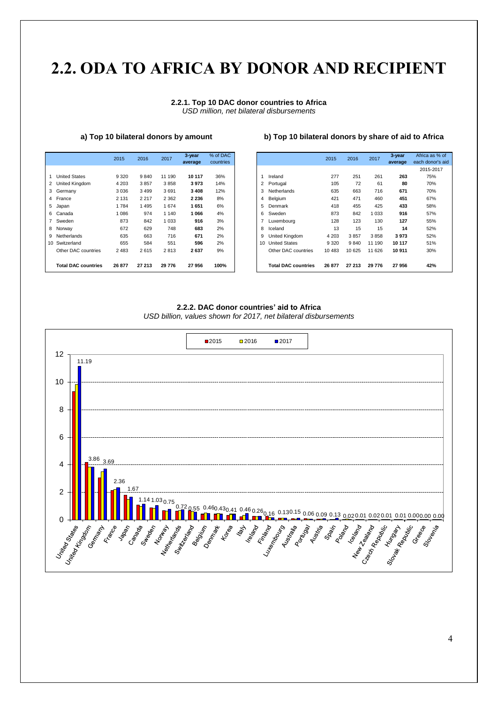### **2.2. ODA [TO](#page-2-0) AFRICA BY DONOR AND RECIPIENT**

#### **2.2.1. Top 10 DAC donor countries to Africa** *USD million, net bilateral disbursements*

|                            | 2015    | 2016    | 2017    | 3-year<br>average | % of DAC<br>countries |
|----------------------------|---------|---------|---------|-------------------|-----------------------|
|                            |         |         |         |                   |                       |
| <b>United States</b>       | 9 3 2 0 | 9840    | 11 190  | 10 117            | 36%                   |
| 2 United Kingdom           | 4 2 0 3 | 3857    | 3858    | 3973              | 14%                   |
| 3 Germany                  | 3 0 3 6 | 3499    | 3691    | 3408              | 12%                   |
| 4 France                   | 2 1 3 1 | 2 2 1 7 | 2 3 6 2 | 2 2 3 6           | 8%                    |
| 5 Japan                    | 1784    | 1495    | 1674    | 1651              | 6%                    |
| 6 Canada                   | 1 0 8 6 | 974     | 1 1 4 0 | 1066              | 4%                    |
| 7 Sweden                   | 873     | 842     | 1 0 3 3 | 916               | 3%                    |
| 8 Norway                   | 672     | 629     | 748     | 683               | 2%                    |
| 9 Netherlands              | 635     | 663     | 716     | 671               | 2%                    |
| 10 Switzerland             | 655     | 584     | 551     | 596               | 2%                    |
| Other DAC countries        | 2 4 8 3 | 2615    | 2813    | 2637              | 9%                    |
|                            |         |         |         |                   |                       |
| <b>Total DAC countries</b> | 26 877  | 27 213  | 29 776  | 27956             | 100%                  |

#### **a) Top 10 bilateral donors by amount b) Top 10 bilateral donors by share of aid to Africa**

|                            | 2015    | 2016    | 2017    | 3-year<br>average | % of DAC<br>countries |
|----------------------------|---------|---------|---------|-------------------|-----------------------|
|                            |         |         |         |                   |                       |
| <b>United States</b>       | 9 3 2 0 | 9840    | 11 190  | 10 117            | 36%                   |
| United Kingdom             | 4 2 0 3 | 3857    | 3858    | 3973              | 14%                   |
| Germany                    | 3 0 36  | 3499    | 3691    | 3408              | 12%                   |
| France                     | 2 1 3 1 | 2 2 1 7 | 2 3 6 2 | 2 2 3 6           | 8%                    |
| Japan                      | 1784    | 1495    | 1674    | 1651              | 6%                    |
| Canada                     | 1086    | 974     | 1 1 4 0 | 1066              | 4%                    |
| Sweden                     | 873     | 842     | 033     | 916               | 3%                    |
| Norway                     | 672     | 629     | 748     | 683               | 2%                    |
| Netherlands                | 635     | 663     | 716     | 671               | 2%                    |
| Switzerland                | 655     | 584     | 551     | 596               | 2%                    |
| Other DAC countries        | 2 4 8 3 | 2615    | 2813    | 2637              | 9%                    |
| <b>Total DAC countries</b> | 26 877  | 27 213  | 29 776  | 27956             | 100%                  |

#### **2.2.2. DAC donor countries' aid to Africa**



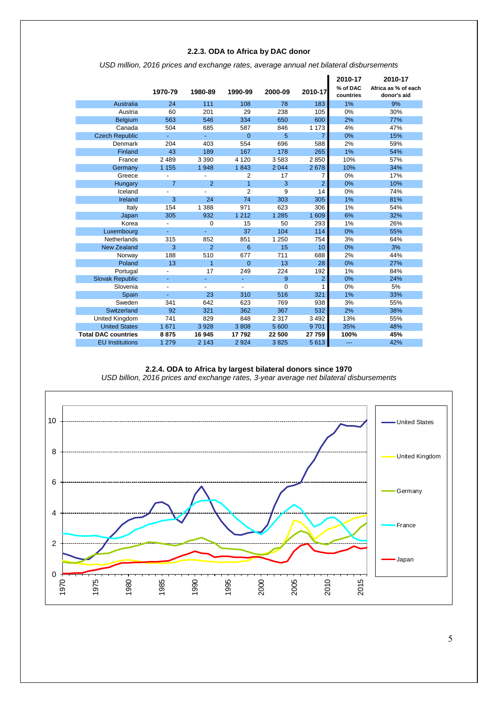#### **2.2.3. ODA to Africa by DAC donor**

|  | USD million, 2016 prices and exchange rates, average annual net bilateral disbursements |  |
|--|-----------------------------------------------------------------------------------------|--|
|  |                                                                                         |  |

|                            | 1970-79                  | 1980-89        | 1990-99        | 2000-09  | 2010-17        | 2010-17<br>% of DAC<br>countries | 2010-17<br>Africa as % of each<br>donor's aid |
|----------------------------|--------------------------|----------------|----------------|----------|----------------|----------------------------------|-----------------------------------------------|
| Australia                  | 24                       | 111            | 108            | 78       | 183            | 1%                               | 9%                                            |
| Austria                    | 60                       | 201            | 29             | 238      | 105            | 0%                               | 30%                                           |
| <b>Belgium</b>             | 563                      | 546            | 334            | 650      | 600            | 2%                               | 77%                                           |
| Canada                     | 504                      | 685            | 587            | 846      | 1 1 7 3        | 4%                               | 47%                                           |
| <b>Czech Republic</b>      | ÷                        | ٠              | $\overline{0}$ | 5        | $\overline{7}$ | 0%                               | 15%                                           |
| Denmark                    | 204                      | 403            | 554            | 696      | 588            | 2%                               | 59%                                           |
| Finland                    | 43                       | 189            | 167            | 178      | 265            | 1%                               | 54%                                           |
| France                     | 2489                     | 3 3 9 0        | 4 1 2 0        | 3583     | 2850           | 10%                              | 57%                                           |
| Germany                    | 1 1 5 5                  | 1948           | 1843           | 2 0 4 4  | 2678           | 10%                              | 34%                                           |
| Greece                     |                          |                | $\overline{2}$ | 17       | 7              | 0%                               | 17%                                           |
| Hungary                    | $\overline{7}$           | $\overline{2}$ | 1              | 3        | $\overline{2}$ | 0%                               | 10%                                           |
| Iceland                    |                          |                | $\overline{2}$ | 9        | 14             | 0%                               | 74%                                           |
| Ireland                    | 3                        | 24             | 74             | 303      | 305            | 1%                               | 81%                                           |
| Italy                      | 154                      | 1 3 8 8        | 971            | 623      | 306            | 1%                               | 54%                                           |
| Japan                      | 305                      | 932            | 1 2 1 2        | 1 2 8 5  | 1 609          | 6%                               | 32%                                           |
| Korea                      | $\overline{\phantom{a}}$ | $\Omega$       | 15             | 50       | 293            | 1%                               | 26%                                           |
| Luxembourg                 | Ξ                        | Ξ              | 37             | 104      | 114            | 0%                               | 55%                                           |
| Netherlands                | 315                      | 852            | 851            | 1 2 5 0  | 754            | 3%                               | 64%                                           |
| <b>New Zealand</b>         | 3                        | $\overline{2}$ | 6              | 15       | 10             | 0%                               | 3%                                            |
| Norway                     | 188                      | 510            | 677            | 711      | 688            | 2%                               | 44%                                           |
| Poland                     | 13                       | 1              | $\overline{0}$ | 13       | 28             | 0%                               | 27%                                           |
| Portugal                   | $\overline{\phantom{0}}$ | 17             | 249            | 224      | 192            | 1%                               | 84%                                           |
| <b>Slovak Republic</b>     | ٠                        | ÷,             | $\blacksquare$ | 9        | $\overline{2}$ | 0%                               | 24%                                           |
| Slovenia                   |                          |                |                | $\Omega$ |                | 0%                               | 5%                                            |
| Spain                      |                          | 23             | 310            | 516      | 321            | 1%                               | 33%                                           |
| Sweden                     | 341                      | 642            | 623            | 769      | 938            | 3%                               | 55%                                           |
| Switzerland                | 92                       | 321            | 362            | 367      | 532            | 2%                               | 38%                                           |
| United Kingdom             | 741                      | 829            | 848            | 2 3 1 7  | 3 4 9 2        | 13%                              | 55%                                           |
| <b>United States</b>       | 1 671                    | 3928           | 3808           | 5 600    | 9701           | 35%                              | 48%                                           |
| <b>Total DAC countries</b> | 8875                     | 16 945         | 17792          | 22 500   | 27 759         | 100%                             | 45%                                           |
| <b>EU</b> Institutions     | 1 2 7 9                  | 2 1 4 3        | 2924           | 3825     | 5613           | $---$                            | 42%                                           |

#### **2.2.4. ODA to Africa by largest bilateral donors since 1970** *USD billion, 2016 prices and exchange rates, 3-year average net bilateral disbursements*

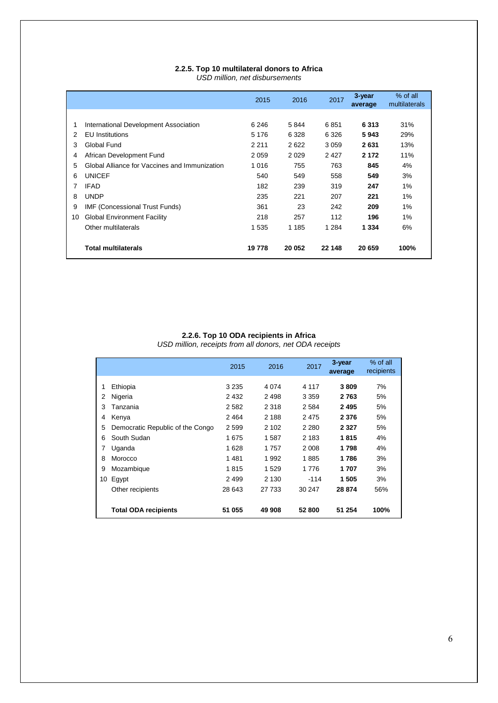#### **2.2.5. Top 10 multilateral donors to Africa** *USD million, net disbursements*

|    |                                               | 2015    | 2016    | 2017    | 3-year<br>average | % of all<br>multilaterals |
|----|-----------------------------------------------|---------|---------|---------|-------------------|---------------------------|
|    |                                               |         |         |         |                   |                           |
| 1  | International Development Association         | 6 2 4 6 | 5844    | 6851    | 6313              | 31%                       |
| 2  | <b>EU</b> Institutions                        | 5 1 7 6 | 6 3 2 8 | 6 3 2 6 | 5943              | 29%                       |
| 3  | Global Fund                                   | 2 2 1 1 | 2622    | 3059    | 2631              | 13%                       |
| 4  | African Development Fund                      | 2059    | 2029    | 2427    | 2 1 7 2           | 11%                       |
| 5  | Global Alliance for Vaccines and Immunization | 1016    | 755     | 763     | 845               | 4%                        |
| 6  | <b>UNICEF</b>                                 | 540     | 549     | 558     | 549               | 3%                        |
|    | <b>IFAD</b>                                   | 182     | 239     | 319     | 247               | 1%                        |
| 8  | <b>UNDP</b>                                   | 235     | 221     | 207     | 221               | 1%                        |
| 9  | IMF (Concessional Trust Funds)                | 361     | 23      | 242     | 209               | 1%                        |
| 10 | <b>Global Environment Facility</b>            | 218     | 257     | 112     | 196               | 1%                        |
|    | Other multilaterals                           | 1535    | 1 1 8 5 | 1 2 8 4 | 1 3 3 4           | 6%                        |
|    | <b>Total multilaterals</b>                    | 19778   | 20 052  | 22 148  | 20 659            | 100%                      |

#### **2.2.6. Top 10 ODA recipients in Africa**

*USD million, receipts from all donors, net ODA receipts*

|    |                                  | 2015    | 2016    | 2017    | 3-year<br>average | % of all<br>recipients |
|----|----------------------------------|---------|---------|---------|-------------------|------------------------|
|    |                                  |         |         |         |                   |                        |
| 1  | Ethiopia                         | 3 2 3 5 | 4 0 7 4 | 4 1 1 7 | 3809              | 7%                     |
| 2  | Nigeria                          | 2 4 3 2 | 2498    | 3 3 5 9 | 2763              | 5%                     |
| 3  | Tanzania                         | 2 5 8 2 | 2 3 1 8 | 2 5 8 4 | 2495              | 5%                     |
| 4  | Kenya                            | 2464    | 2 188   | 2475    | 2 3 7 6           | 5%                     |
| 5  | Democratic Republic of the Congo | 2 5 9 9 | 2 102   | 2 2 8 0 | 2 3 2 7           | 5%                     |
| 6  | South Sudan                      | 1675    | 1587    | 2 1 8 3 | 1815              | 4%                     |
| 7  | Uganda                           | 1628    | 1757    | 2 0 0 8 | 1798              | 4%                     |
| 8  | Morocco                          | 1481    | 1992    | 1885    | 1 786             | 3%                     |
| 9  | Mozambique                       | 1815    | 1529    | 1776    | 1 707             | 3%                     |
| 10 | Egypt                            | 2499    | 2 1 3 0 | $-114$  | 1 505             | 3%                     |
|    | Other recipients                 | 28 643  | 27 733  | 30 247  | 28 874            | 56%                    |
|    |                                  |         |         |         |                   |                        |
|    | <b>Total ODA recipients</b>      | 51 055  | 49 908  | 52 800  | 51 254            | 100%                   |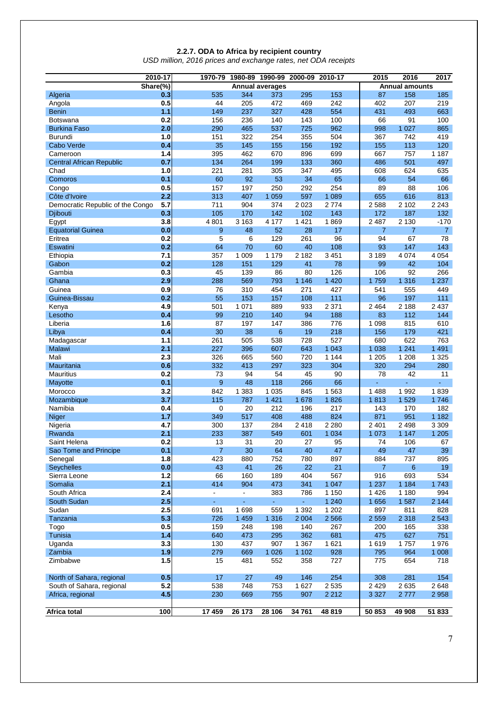#### **2.2.7. ODA to Africa by recipient country**

*USD million, 2016 prices and exchange rates, net ODA receipts*

|                                  | 2010-17    | 1970-79        |            | 1980-89 1990-99        | 2000-09            | 2010-17        | 2015           | 2016                  | 2017            |
|----------------------------------|------------|----------------|------------|------------------------|--------------------|----------------|----------------|-----------------------|-----------------|
|                                  | Share(%)   |                |            | <b>Annual averages</b> |                    |                |                | <b>Annual amounts</b> |                 |
| Algeria                          | 0.3        | 535            | 344        | 373                    | 295                | 153            | 87             | 158                   | 185             |
| Angola                           | 0.5        | 44             | 205        | 472                    | 469                | 242            | 402            | 207                   | 219             |
| <b>Benin</b>                     | 1.1        | 149            | 237        | 327                    | 428                | 554            | 431            | 493                   | 663             |
| <b>Botswana</b>                  | 0.2        | 156            | 236        | 140                    | 143                | 100            | 66             | 91                    | 100             |
| <b>Burkina Faso</b>              | 2.0        | 290            | 465        | 537                    | 725                | 962            | 998            | 1 0 2 7               | 865             |
| Burundi                          | 1.0        | 151            | 322        | 254                    | 355                | 504            | 367            | 742                   | 419             |
| Cabo Verde                       | 0.4        | 35             | 145        | 155                    | 156                | 192            | 155            | 113                   | 120             |
| Cameroon                         | 1.4        | 395            | 462        | 670                    | 896                | 699            | 667            | 757                   | 1 1 8 7         |
| <b>Central African Republic</b>  | 0.7        | 134            | 264        | 199                    | 133                | 360            | 486            | 501                   | 497             |
| Chad                             | 1.0        | 221            | 281        | 305                    | 347                | 495            | 608            | 624                   | 635             |
| Comoros                          | 0.1        | 60<br>157      | 92<br>197  | 53<br>250              | 34<br>292          | 65<br>254      | 66<br>89       | 54<br>88              | 66<br>106       |
| Congo<br>Côte d'Ivoire           | 0.5<br>2.2 | 313            | 407        | 1 0 5 9                | 597                | 1 0 8 9        | 655            | 616                   | 813             |
| Democratic Republic of the Congo | 5.7        | 711            | 904        | 374                    | 2023               | 2 7 7 4        | 2588           | 2 1 0 2               | 2 2 4 3         |
| Djibouti                         | 0.3        | 105            | 170        | 142                    | 102                | 143            | 172            | 187                   | 132             |
| Egypt                            | 3.8        | 4 8 0 1        | 3 1 6 3    | 4 1 7 7                | 1 4 2 1            | 1869           | 2 4 8 7        | 2 1 3 0               | $-170$          |
| <b>Equatorial Guinea</b>         | 0.0        | $9\,$          | 48         | 52                     | 28                 | 17             | $\overline{7}$ | $\overline{7}$        | $\overline{7}$  |
| Eritrea                          | 0.2        | 5              | 6          | 129                    | 261                | 96             | 94             | 67                    | 78              |
| Eswatini                         | 0.2        | 64             | 70         | 60                     | 40                 | 108            | 93             | 147                   | 143             |
| Ethiopia                         | 7.1        | 357            | 1 0 0 9    | 1 1 7 9                | 2 1 8 2            | 3 4 5 1        | 3 1 8 9        | 4 0 7 4               | 4 0 5 4         |
| Gabon                            | 0.2        | 128            | 151        | 129                    | 41                 | 78             | 99             | 42                    | 104             |
| Gambia                           | 0.3        | 45             | 139        | 86                     | 80                 | 126            | 106            | 92                    | 266             |
| Ghana                            | 2.9        | 288            | 569        | 793                    | 1 1 4 6            | 1 4 2 0        | 1759           | 1 3 1 6               | 1 2 3 7         |
| Guinea                           | 0.9        | 76             | 310        | 454                    | 271                | 427            | 541            | 555                   | 449             |
| Guinea-Bissau                    | 0.2        | 55             | 153        | 157                    | 108                | 111            | 96             | 197                   | 111             |
| Kenya                            | 4.9        | 501            | 1 0 7 1    | 889                    | 933                | 2 3 7 1        | 2 4 6 4        | 2 1 8 8               | 2 4 3 7         |
| Lesotho                          | 0.4        | 99             | 210        | 140                    | 94                 | 188            | 83             | 112                   | 144             |
| Liberia                          | 1.6        | 87             | 197        | 147                    | 386                | 776            | 1 0 9 8        | 815                   | 610             |
| Libya                            | 0.4        | 30             | 38         | 6                      | 19                 | 218            | 156            | 179                   | 421             |
| Madagascar                       | 1.1        | 261            | 505        | 538                    | 728                | 527            | 680            | 622                   | 763             |
| Malawi                           | 2.1        | 227            | 396        | 607                    | 643                | 1 0 4 3        | 1 0 38         | 1 2 4 1               | 1 4 9 1         |
| Mali                             | 2.3        | 326            | 665        | 560                    | 720                | 1 1 4 4        | 1 2 0 5        | 1 2 0 8               | 1 3 2 5         |
| Mauritania                       | 0.6        | 332            | 413        | 297                    | 323                | 304            | 320            | 294                   | 280             |
| <b>Mauritius</b>                 | 0.2        | 73             | 94         | 54                     | 45                 | 90             | 78             | 42                    | 11              |
| Mayotte                          | 0.1        | 9              | 48         | 118                    | 266                | 66             | ä,             | ä,                    | å,              |
| Morocco                          | 3.2        | 842            | 1 3 8 3    | 1 0 3 5                | 845                | 1563           | 1 4 8 8        | 1992                  | 1839            |
| Mozambique                       | 3.7        | 115            | 787        | 1 4 2 1                | 1 678              | 1826           | 1813           | 1529                  | 1746            |
| Namibia                          | 0.4        | $\mathbf 0$    | 20         | 212                    | 196                | 217            | 143            | 170                   | 182             |
| Niger                            | 1.7        | 349            | 517        | 408                    | 488                | 824            | 871            | 951                   | 1 1 8 2         |
| Nigeria                          | 4.7        | 300            | 137        | 284                    | 2418               | 2 2 8 0        | 2 4 0 1        | 2 4 9 8               | 3 3 0 9         |
| Rwanda                           | 2.1        | 233            | 387        | 549                    | 601                | 1 0 3 4        | 1 0 7 3        | 1 1 4 7               | 1 2 0 5         |
| Saint Helena                     | 0.2        | 13             | 31         | 20                     | 27                 | 95             | 74             | 106                   | 67              |
| Sao Tome and Principe            | 0.1        | $\overline{7}$ | 30         | 64                     | 40                 | 47             | 49             | 47                    | 39              |
| Senegal                          | 1.8        | 423            | 880        | 752                    | 780                | 897            | 884            | 737                   | 895             |
| <b>Seychelles</b>                | 0.0        | 43             | 41         | 26                     | 22                 | 21             | $\overline{7}$ | 6                     | 19              |
| Sierra Leone                     | 1.2        | 66             | 160        | 189                    | 404                | 567            | 916            | 693                   | 534             |
| Somalia                          | 2.1        | 414            | 904        | 473                    | 341                | 1 0 4 7        | 1 2 3 7        | 1 1 8 4               | 1743            |
| South Africa                     | 2.4        | ÷.             | ÷,         | 383                    | 786                | 1 1 5 0        | 1 4 2 6        | 1 1 8 0               | 994             |
| South Sudan                      | 2.5        | ä,             | ä,         |                        | ÷,                 | 1 2 4 0        | 1 6 5 6        | 1587                  | 2 1 4 4         |
| Sudan                            | 2.5        | 691            | 1 6 9 8    | 559                    | 1 3 9 2            | 1 2 0 2        | 897            | 811                   | 828             |
| Tanzania                         | 5.3        | 726            | 1 4 5 9    | 1 3 1 6                | 2 0 0 4            | 2 5 6 6        | 2 5 5 9        | 2 3 1 8               | 2 5 4 3         |
| Togo                             | 0.5        | 159            | 248        | 198                    | 140                | 267            | 200            | 165                   | 338             |
| Tunisia                          | 1.4<br>3.3 | 640            | 473        | 295                    | 362                | 681<br>1 6 2 1 | 475            | 627                   | 751             |
| Uganda<br>Zambia                 | 1.9        | 130<br>279     | 437<br>669 | 907<br>1 0 2 6         | 1 3 6 7<br>1 1 0 2 | 928            | 1619<br>795    | 1757<br>964           | 1976<br>1 0 0 8 |
| Zimbabwe                         | 1.5        | 15             | 481        | 552                    | 358                | 727            | 775            | 654                   | 718             |
|                                  |            |                |            |                        |                    |                |                |                       |                 |
| North of Sahara, regional        | 0.5        | 17             | 27         | 49                     | 146                | 254            | 308            | 281                   | 154             |
| South of Sahara, regional        | 5.2        | 538            | 748        | 753                    | 1627               | 2 5 3 5        | 2 4 2 9        | 2635                  | 2648            |
| Africa, regional                 | 4.5        | 230            | 669        | 755                    | 907                | 2 2 1 2        | 3 3 2 7        | 2777                  | 2 9 5 8         |
| <b>Africa total</b>              | 100        | 17459          | 26 173     | 28 106                 | 34 761             | 48 819         | 50 853         | 49 908                | 51 833          |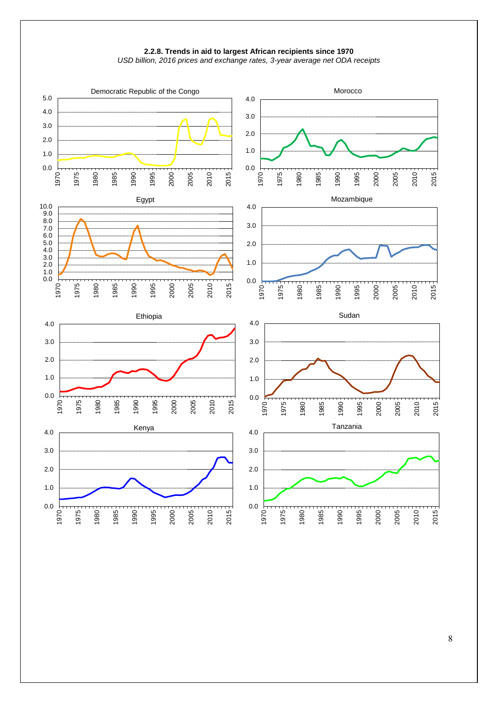



8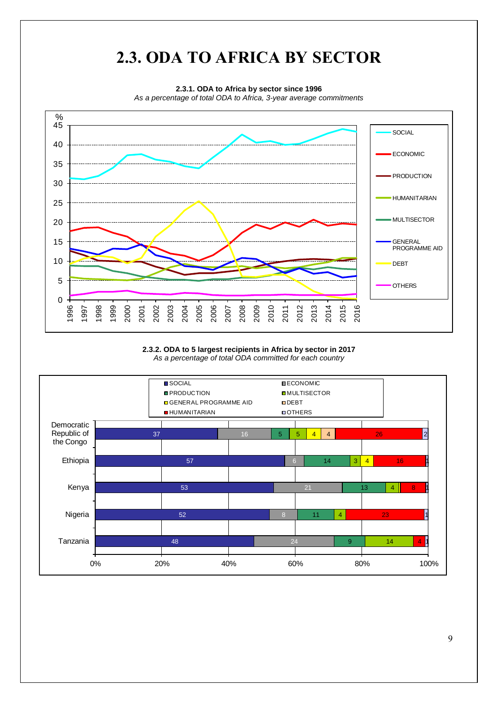

#### **2.3.2. ODA to 5 largest recipients in Africa by sector in 2017** *As a percentage of total ODA committed for each country*

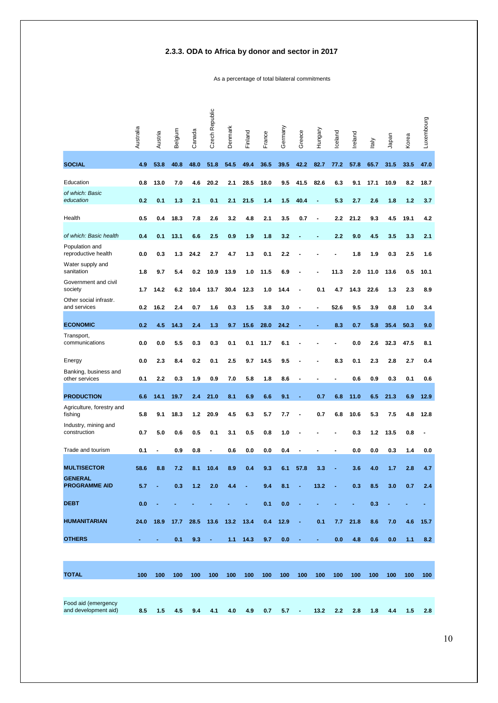### **2.3.3. ODA to Africa by donor and sector in 2017**

As a percentage of total bilateral commitments

|                                             | Australia      | Austria        | Belgium | Canada | Czech Republic | Denmark | Finland    | France | Germany | Greece                   | Hungary        | Iceland        | Ireland | Italy | Japan | Korea | Luxembourg |
|---------------------------------------------|----------------|----------------|---------|--------|----------------|---------|------------|--------|---------|--------------------------|----------------|----------------|---------|-------|-------|-------|------------|
| <b>SOCIAL</b>                               | 4.9            | 53.8           | 40.8    | 48.0   | 51.8           | 54.5    | 49.4       | 36.5   | 39.5    | 42.2                     | 82.7           | 77.2           | 57.8    | 65.7  | 31.5  | 33.5  | 47.0       |
| Education                                   | 0.8            | 13.0           | 7.0     | 4.6    | 20.2           | 2.1     | 28.5       | 18.0   | 9.5     | 41.5                     | 82.6           | 6.3            | 9.1     | 17.1  | 10.9  | 8.2   | 18.7       |
| of which: Basic<br>education                | 0.2            | 0.1            | 1.3     | 2.1    | 0.1            | 2.1     | 21.5       | 1.4    | 1.5     | 40.4                     | $\blacksquare$ | 5.3            | 2.7     | 2.6   | 1.8   | 1.2   | 3.7        |
| Health                                      | 0.5            | 0.4            | 18.3    | 7.8    | 2.6            | 3.2     | 4.8        | 2.1    | 3.5     | 0.7                      |                | 2.2            | 21.2    | 9.3   | 4.5   | 19.1  | 4.2        |
| of which: Basic health                      | 0.4            | 0.1            | 13.1    | 6.6    | 2.5            | 0.9     | 1.9        | 1.8    | 3.2     |                          |                | 2.2            | 9.0     | 4.5   | 3.5   | 3.3   | 2.1        |
| Population and<br>reproductive health       | 0.0            | 0.3            | 1.3     | 24.2   | 2.7            | 4.7     | 1.3        | 0.1    | 2.2     |                          |                |                | 1.8     | 1.9   | 0.3   | 2.5   | 1.6        |
| Water supply and<br>sanitation              | 1.8            | 9.7            | 5.4     | 0.2    | 10.9           | 13.9    | 1.0        | 11.5   | 6.9     |                          |                | 11.3           | 2.0     | 11.0  | 13.6  | 0.5   | 10.1       |
| Government and civil<br>society             | 1.7            | 14.2           | 6.2     | 10.4   | 13.7           | 30.4    | 12.3       | 1.0    | 14.4    |                          | 0.1            | 4.7            | 14.3    | 22.6  | 1.3   | 2.3   | 8.9        |
| Other social infrastr.<br>and services      | 0.2            | 16.2           | 2.4     | 0.7    | 1.6            | 0.3     | 1.5        | 3.8    | 3.0     |                          |                | 52.6           | 9.5     | 3.9   | 0.8   | 1.0   | 3.4        |
| <b>ECONOMIC</b>                             | 0.2            | 4.5            | 14.3    | 2.4    | 1.3            | 9.7     | 15.6       | 28.0   | 24.2    |                          |                | 8.3            | 0.7     | 5.8   | 35.4  | 50.3  | 9.0        |
| Transport,<br>communications                | 0.0            | 0.0            | 5.5     | 0.3    | 0.3            | 0.1     | 0.1        | 11.7   | 6.1     |                          |                |                | 0.0     | 2.6   | 32.3  | 47.5  | 8.1        |
| Energy                                      | 0.0            | 2.3            | 8.4     | 0.2    | 0.1            | 2.5     | 9.7        | 14.5   | 9.5     |                          |                | 8.3            | 0.1     | 2.3   | 2.8   | 2.7   | 0.4        |
| Banking, business and<br>other services     | 0.1            | 2.2            | 0.3     | 1.9    | 0.9            | 7.0     | 5.8        | 1.8    | 8.6     | $\blacksquare$           |                | $\blacksquare$ | 0.6     | 0.9   | 0.3   | 0.1   | 0.6        |
| <b>PRODUCTION</b>                           | 6.6            | 14.1           | 19.7    | 2.4    | 21.0           | 8.1     | 6.9        | 6.6    | 9.1     |                          | 0.7            | 6.8            | 11.0    | 6.5   | 21.3  | 6.9   | 12.9       |
| Agriculture, forestry and<br>fishing        | 5.8            | 9.1            | 18.3    | 1.2    | 20.9           | 4.5     | 6.3        | 5.7    | 7.7     |                          | 0.7            | 6.8            | 10.6    | 5.3   | 7.5   | 4.8   | 12.8       |
| Industry, mining and<br>construction        | 0.7            | 5.0            | 0.6     | 0.5    | 0.1            | 3.1     | 0.5        | 0.8    | 1.0     |                          |                |                | 0.3     | 1.2   | 13.5  | 0.8   |            |
| Trade and tourism                           | 0.1            |                | 0.9     | 0.8    | $\blacksquare$ | 0.6     | 0.0        | 0.0    | 0.4     | $\overline{\phantom{a}}$ |                |                | 0.0     | 0.0   | 0.3   | 1.4   | 0.0        |
| <b>MULTISECTOR</b>                          | 58.6           | 8.8            | 7.2     | 8.1    | 10.4           | 8.9     | 0.4        | 9.3    | 6.1     | 57.8                     | 3.3            |                | 3.6     | 4.0   | 1.7   | 2.8   | 4.7        |
| <b>GENERAL</b><br><b>PROGRAMME AID</b>      | 5.7            |                | 0.3     | $1.2$  | 2.0            | 4.4     |            | 9.4    | 8.1     |                          | 13.2           |                | 0.3     | 8.5   | 3.0   | 0.7   | 2.4        |
| <b>DEBT</b>                                 | 0.0            |                |         |        |                |         |            | 0.1    | 0.0     |                          |                |                |         | 0.3   |       |       |            |
| <b>HUMANITARIAN</b>                         | 24.0           | 18.9           | 17.7    | 28.5   | 13.6           | 13.2    | 13.4       | 0.4    | 12.9    | ÷                        | 0.1            | 7.7            | 21.8    | 8.6   | 7.0   | 4.6   | 15.7       |
| <b>OTHERS</b>                               | $\blacksquare$ | $\blacksquare$ | 0.1     | 9.3    | $\blacksquare$ |         | $1.1$ 14.3 | 9.7    | 0.0     | $\overline{\phantom{a}}$ | $\blacksquare$ | 0.0            | 4.8     | 0.6   | 0.0   | 1.1   | 8.2        |
|                                             |                |                |         |        |                |         |            |        |         |                          |                |                |         |       |       |       |            |
| <b>TOTAL</b>                                | 100            | 100            | 100     | 100    | 100            | 100     | 100        | 100    | 100     | 100                      | 100            | 100            | 100     | 100   | 100   | 100   | 100        |
|                                             |                |                |         |        |                |         |            |        |         |                          |                |                |         |       |       |       |            |
| Food aid (emergency<br>and development aid) | 8.5            | 1.5            | 4.5     | 9.4    | 4.1            | 4.0     | 4.9        | 0.7    | 5.7     | $\overline{\phantom{0}}$ | 13.2           | 2.2            | 2.8     | 1.8   | 4.4   | 1.5   | 2.8        |

10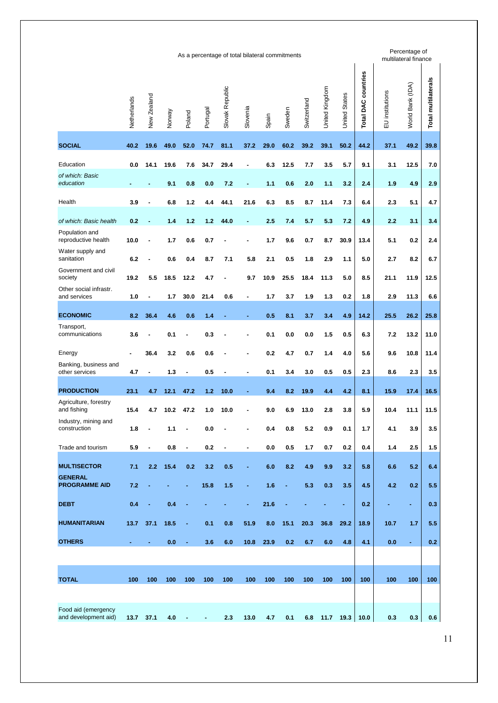|                                             |             |                |        |                |          |                 | As a percentage of total bilateral commitments |       |        |             |                |                      |                            |                 | Percentage of<br>multilateral finance |                            |
|---------------------------------------------|-------------|----------------|--------|----------------|----------|-----------------|------------------------------------------------|-------|--------|-------------|----------------|----------------------|----------------------------|-----------------|---------------------------------------|----------------------------|
|                                             | Netherlands | New Zealand    | Norway | Poland         | Portugal | Slovak Republic | Slovenia                                       | Spain | Sweden | Switzerland | United Kingdom | <b>United States</b> | <b>Total DAC countries</b> | EU institutions | World Bank (IDA)                      | <b>Total multilaterals</b> |
| <b>SOCIAL</b>                               | 40.2        | 19.6           | 49.0   | 52.0           | 74.7     | 81.1            | 37.2                                           | 29.0  | 60.2   | 39.2        | 39.1           | 50.2                 | 44.2                       | 37.1            | 49.2                                  | 39.8                       |
| Education                                   | 0.0         | 14.1           | 19.6   | 7.6            | 34.7     | 29.4            | $\blacksquare$                                 | 6.3   | 12.5   | 7.7         | 3.5            | 5.7                  | 9.1                        | 3.1             | 12.5                                  | 7.0                        |
| of which: Basic<br>education                |             |                | 9.1    | 0.8            | 0.0      | 7.2             | ÷                                              | 1.1   | 0.6    | 2.0         | 1.1            | 3.2                  | 2.4                        | 1.9             | 4.9                                   | 2.9                        |
| Health                                      | 3.9         |                | 6.8    | 1.2            | 4.4      | 44.1            | 21.6                                           | 6.3   | 8.5    | 8.7         | 11.4           | 7.3                  | 6.4                        | 2.3             | 5.1                                   | 4.7                        |
| of which: Basic health                      | 0.2         |                | 1.4    | 1.2            | 1.2      | 44.0            | ٠                                              | 2.5   | 7.4    | 5.7         | 5.3            | 7.2                  | 4.9                        | 2.2             | 3.1                                   | 3.4                        |
| Population and<br>reproductive health       | 10.0        |                | 1.7    | 0.6            | 0.7      |                 |                                                | 1.7   | 9.6    | 0.7         | 8.7            | 30.9                 | 13.4                       | 5.1             | 0.2                                   | 2.4                        |
| Water supply and<br>sanitation              | 6.2         |                | 0.6    | 0.4            | 8.7      | 7.1             | 5.8                                            | 2.1   | 0.5    | 1.8         | 2.9            | 1.1                  | 5.0                        | 2.7             | 8.2                                   | 6.7                        |
| Government and civil<br>society             | 19.2        | 5.5            | 18.5   | 12.2           | 4.7      |                 | 9.7                                            | 10.9  | 25.5   | 18.4        | 11.3           | 5.0                  | 8.5                        | 21.1            | 11.9                                  | 12.5                       |
| Other social infrastr.<br>and services      | 1.0         |                | 1.7    | 30.0           | 21.4     | 0.6             | ٠                                              | 1.7   | 3.7    | 1.9         | 1.3            | 0.2                  | 1.8                        | 2.9             | 11.3                                  | 6.6                        |
| <b>ECONOMIC</b>                             | 8.2         | 36.4           | 4.6    | 0.6            | 1.4      |                 |                                                | 0.5   | 8.1    | 3.7         | 3.4            | 4.9                  | 14.2                       | 25.5            | 26.2                                  | 25.8                       |
| Transport,<br>communications                | 3.6         |                | 0.1    |                | 0.3      |                 |                                                | 0.1   | 0.0    | 0.0         | 1.5            | 0.5                  | 6.3                        | 7.2             | 13.2                                  | 11.0                       |
| Energy                                      |             | 36.4           | 3.2    | 0.6            | 0.6      |                 |                                                | 0.2   | 4.7    | 0.7         | 1.4            | 4.0                  | 5.6                        | 9.6             | 10.8                                  | 11.4                       |
| Banking, business and<br>other services     | 4.7         | ٠              | 1.3    | ٠              | 0.5      | ٠               | $\blacksquare$                                 | 0.1   | 3.4    | 3.0         | 0.5            | 0.5                  | 2.3                        | 8.6             | 2.3                                   | 3.5                        |
| <b>PRODUCTION</b>                           | 23.1        | 4.7            | 12.1   | 47.2           | 1.2      | 10.0            | ٠                                              | 9.4   | 8.2    | 19.9        | 4.4            | 4.2                  | 8.1                        | 15.9            | 17.4                                  | 16.5                       |
| Agriculture, forestry<br>and fishing        | 15.4        | 4.7            | 10.2   | 47.2           | 1.0      | 10.0            |                                                | 9.0   | 6.9    | 13.0        | 2.8            | 3.8                  | 5.9                        | 10.4            | 11.1                                  | 11.5                       |
| Industry, mining and<br>construction        | 1.8         |                | 1.1    |                | 0.0      |                 |                                                | 0.4   | 0.8    | 5.2         | 0.9            | 0.1                  | 1.7                        | 4.1             | 3.9                                   | 3.5                        |
| Trade and tourism                           | 5.9         | $\blacksquare$ | 0.8    | $\blacksquare$ | 0.2      | $\blacksquare$  | $\blacksquare$                                 | 0.0   | 0.5    | 1.7         | 0.7            | 0.2                  | 0.4                        | 1.4             | 2.5                                   | 1.5                        |
| <b>MULTISECTOR</b>                          | 7.1         | 2.2            | 15.4   | 0.2            | 3.2      | 0.5             | ÷                                              | 6.0   | 8.2    | 4.9         | 9.9            | 3.2                  | 5.8                        | 6.6             | 5.2                                   | 6.4                        |
| <b>GENERAL</b><br><b>PROGRAMME AID</b>      | 7.2         |                |        |                | 15.8     | 1.5             | ٠                                              | 1.6   | ÷      | 5.3         | 0.3            | 3.5                  | 4.5                        | 4.2             | 0.2                                   | 5.5                        |
| <b>DEBT</b>                                 | 0.4         |                | 0.4    |                |          |                 | ÷                                              | 21.6  |        |             |                | ٠                    | 0.2                        |                 | ٠                                     | 0.3                        |
| <b>HUMANITARIAN</b>                         | 13.7        | 37.1           | 18.5   |                | 0.1      | 0.8             | 51.9                                           | 8.0   | 15.1   | 20.3        | 36.8           | 29.2                 | 18.9                       | 10.7            | $1.7$                                 | 5.5                        |
| <b>OTHERS</b>                               | ٠           | $\blacksquare$ | 0.0    | ٠              | 3.6      | 6.0             | 10.8                                           | 23.9  | 0.2    | 6.7         | 6.0            | 4.8                  | 4.1                        | 0.0             | Ξ                                     | 0.2                        |
|                                             |             |                |        |                |          |                 |                                                |       |        |             |                |                      |                            |                 |                                       |                            |
| <b>TOTAL</b>                                | 100         | 100            | 100    | 100            | 100      | 100             | 100                                            | 100   | 100    | 100         | 100            | 100                  | 100                        | 100             | 100                                   | 100                        |
|                                             |             |                |        |                |          |                 |                                                |       |        |             |                |                      |                            |                 |                                       |                            |
| Food aid (emergency<br>and development aid) | 13.7        | 37.1           | 4.0    |                | ÷        | 2.3             | 13.0                                           | 4.7   | 0.1    | 6.8         | 11.7           | 19.3                 | 10.0                       | 0.3             | 0.3                                   | 0.6                        |
|                                             |             |                |        |                |          |                 |                                                |       |        |             |                |                      |                            |                 |                                       |                            |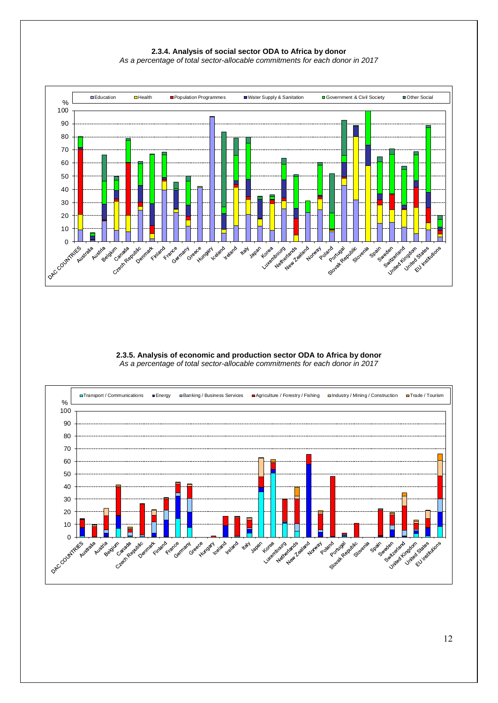**2.3.4. Analysis of social sector ODA to Africa by donor** *As a percentage of total sector-allocable commitments for each donor in 2017*



**2.3.5. Analysis of economic and production sector ODA to Africa by donor** *As a percentage of total sector-allocable commitments for each donor in 2017*

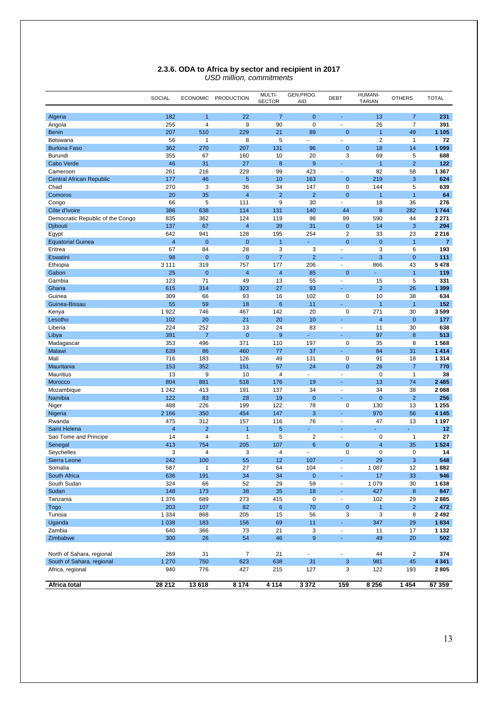|                                  | SOCIAL         | <b>ECONOMIC</b>                  | <b>PRODUCTION</b> | MULTI-<br><b>SECTOR</b> | GEN.PROG.<br>AID              | <b>DEBT</b>              | <b>HUMANI-</b><br><b>TARIAN</b> | <b>OTHERS</b>                    | <b>TOTAL</b>    |
|----------------------------------|----------------|----------------------------------|-------------------|-------------------------|-------------------------------|--------------------------|---------------------------------|----------------------------------|-----------------|
|                                  |                |                                  |                   |                         |                               |                          |                                 |                                  |                 |
| Algeria<br>Angola                | 182<br>255     | $\overline{1}$<br>$\overline{4}$ | 22<br>9           | $\overline{7}$<br>90    | $\overline{0}$<br>$\mathbf 0$ | ä,                       | 13<br>26                        | $\overline{7}$<br>$\overline{7}$ | 231<br>391      |
| <b>Benin</b>                     | 207            | 510                              | 229               | 21                      | 89                            | $\mathbf 0$              | $\overline{1}$                  | 49                               | 1 1 0 5         |
| <b>Botswana</b>                  | 56             | $\overline{1}$                   | 8                 | 5                       | Ĭ.                            | ä,                       | $\overline{2}$                  | $\mathbf{1}$                     | 72              |
| <b>Burkina Faso</b>              | 362            | 270                              | 207               | 131                     | 96                            | $\mathbf{0}$             | 18                              | 14                               | 1 0 9 9         |
| Burundi                          | 355            | 67                               | 160               | 10                      | 20                            | 3                        | 69                              | 5                                | 688             |
| Cabo Verde                       | 46             | 31                               | 27                | 8                       | 9                             | Ξ                        | $\overline{1}$                  | $\overline{2}$                   | 122             |
| Cameroon                         | 261            | 216                              | 229               | 99                      | 423                           | $\sim$                   | 82                              | 58                               | 1 3 6 7         |
| <b>Central African Republic</b>  | 177            | 46                               | 5                 | 10                      | 163                           | $\mathbf{0}$             | 219                             | 3                                | 624             |
| Chad                             | 270            | 3                                | 36                | 34                      | 147                           | $\mathbf 0$              | 144                             | 5                                | 639             |
| Comoros                          | 20             | 35                               | 4                 | $\overline{2}$          | $\overline{2}$                | $\mathbf 0$              | 1                               | $\mathbf{1}$                     | 64              |
| Congo                            | 66             | 5                                | 111               | 9                       | 30                            | ä,                       | 18                              | 36                               | 276             |
| Côte d'Ivoire                    | 386            | 638                              | 114               | 131                     | 140                           | 44                       | 8                               | 282                              | 1744            |
| Democratic Republic of the Congo | 835            | 362                              | 124               | 119                     | 98                            | 99                       | 590                             | 44                               | 2 2 7 1         |
| <b>Djibouti</b>                  | 137            | 67                               | 4                 | 39                      | 31                            | $\mathbf 0$              | 14                              | 3                                | 294             |
| Egypt                            | 642            | 941                              | 128               | 195                     | 254                           | $\overline{2}$           | 33                              | 23                               | 2 2 1 6         |
| <b>Equatorial Guinea</b>         | $\overline{4}$ | $\mathbf{0}$                     | $\mathbf 0$       | $\overline{1}$          |                               | $\mathbf 0$              | $\mathbf 0$                     | $\overline{1}$                   | $\overline{7}$  |
| Eritrea                          | 67             | 84                               | 28                | 3                       | 3                             | $\blacksquare$           | 3                               | 6                                | 193             |
| Eswatini                         | 98             | $\mathbf 0$                      | 0                 | $\overline{7}$          | $\overline{2}$                | ٠                        | 3                               | $\mathbf{0}$                     | 111             |
| Ethiopia                         | 3 1 1 1        | 319                              | 757               | 177                     | 206                           | ÷,                       | 866                             | 43                               | 5478            |
| Gabon                            | 25             | $\mathbf{0}$                     | 4                 | $\overline{4}$          | 85                            | $\overline{0}$           |                                 | $\overline{1}$                   | 119             |
| Gambia                           | 123            | 71                               | 49                | 13                      | 55                            | ä,                       | 15                              | 5                                | 331             |
| Ghana                            | 615            | 314                              | 323               | 27                      | 93                            | ä,                       | $\overline{2}$                  | 26                               | 1 3 9 9         |
| Guinea                           | 309            | 66                               | 93                | 16                      | 102                           | $\mathbf 0$              | 10                              | 38                               | 634             |
| Guinea-Bissau                    | 55             | 59                               | 18                | 6                       | 11                            | Ξ                        | $\overline{1}$                  | $\overline{1}$                   | 152             |
| Kenya                            | 1922           | 746                              | 467               | 142                     | 20                            | 0                        | 271                             | 30                               | 3599            |
| Lesotho                          | 102            | 20                               | 21                | 20                      | 10                            | ÷.                       | $\overline{4}$                  | $\mathbf 0$                      | 177             |
| Liberia                          | 224            | 252                              | 13                | 24                      | 83                            | $\sim$                   | 11                              | 30                               | 638             |
| Libya                            | 391            | $\overline{7}$                   | $\overline{0}$    | 9                       | Ξ                             | Ξ                        | 97                              | 8                                | 513             |
| Madagascar                       | 353            | 496                              | 371               | 110                     | 197                           | $\mathbf 0$              | 35                              | 8                                | 1568            |
| Malawi<br>Mali                   | 639<br>716     | 86<br>183                        | 460<br>126        | 77<br>49                | 37<br>131                     | $\mathbf 0$              | 84<br>91                        | 31<br>18                         | 1414<br>1 3 1 4 |
| Mauritania                       | 153            | 352                              | 151               | 57                      | 24                            | $\mathbf 0$              | 26                              | $\overline{7}$                   | 770             |
| <b>Mauritius</b>                 | 13             | 9                                | 10                | 4                       | ÷.                            | ä,                       | $\mathbf 0$                     | $\mathbf{1}$                     | 38              |
| Morocco                          | 804            | 881                              | 518               | 176                     | 19                            | ٠                        | 13                              | 74                               | 2485            |
| Mozambique                       | 1 2 4 2        | 413                              | 191               | 137                     | 34                            | $\overline{\phantom{a}}$ | 34                              | 38                               | 2088            |
| Namibia                          | 122            | 83                               | 28                | 19                      | $\mathbf 0$                   | Ξ                        | $\mathbf{0}$                    | $\overline{2}$                   | 256             |
| Niger                            | 488            | 226                              | 199               | 122                     | 78                            | $\mathbf 0$              | 130                             | 13                               | 1 2 5 5         |
| Nigeria                          | 2 1 6 6        | 350                              | 454               | 147                     | 3                             | ٠                        | 970                             | 56                               | 4 1 4 5         |
| Rwanda                           | 475            | 312                              | 157               | 116                     | 76                            | $\overline{a}$           | 47                              | 13                               | 1 1 9 7         |
| Saint Helena                     | $\overline{4}$ | $\overline{2}$                   | $\overline{1}$    | 5                       |                               | ä,                       | ÷                               | ä,                               | 12 <sub>2</sub> |
| Sao Tome and Principe            | 14             | $\overline{4}$                   | $\mathbf{1}$      | 5                       | $\overline{2}$                | $\blacksquare$           | $\mathbf 0$                     | $\mathbf{1}$                     | 27              |
| Senegal                          | 413            | 754                              | 205               | 107                     | $6\phantom{1}6$               | $\mathbf{0}$             | $\overline{4}$                  | 35                               | 1524            |
| Seychelles                       | 3              | $\overline{4}$                   | 3                 | 4                       | ٠                             | $\mathbf 0$              | 0                               | 0                                | 14              |
| Sierra Leone                     | 242            | 100                              | 55                | 12                      | 107                           | ä,                       | 29                              | 3                                | 548             |
| Somalia                          | 587            | $\mathbf{1}$                     | 27                | 64                      | 104                           | ۰                        | 1 0 8 7                         | 12                               | 1882            |
| South Africa                     | 636            | 191                              | 34                | 34                      | $\mathbf{0}$                  | ÷,                       | 17                              | 33                               | 946             |
| South Sudan                      | 324            | 66                               | 52                | 29                      | 59                            | $\blacksquare$           | 1 0 7 9                         | 30                               | 1638            |
| Sudan                            | 148            | 173                              | 38                | 35                      | 18                            | Ξ                        | 427                             | 8                                | 847             |
| Tanzania                         | 1 376          | 689                              | 273               | 415                     | $\pmb{0}$                     | $\omega$                 | 102                             | 29                               | 2885            |
| Togo                             | 203            | 107                              | 82                | $\,6\,$                 | 70                            | $\mathbf{0}$             | $\mathbf{1}$                    | $\overline{2}$                   | 472             |
| Tunisia                          | 1 3 3 4        | 868                              | 205               | 15                      | 56                            | 3                        | 3                               | 8                                | 2492            |
| Uganda                           | 1 0 38         | 183                              | 156               | 69                      | 11                            | ÷,                       | 347                             | 29                               | 1834            |
| Zambia                           | 640            | 366                              | 73                | 21                      | 3                             | $\blacksquare$           | 11                              | 17                               | 1 1 3 2         |
| Zimbabwe                         | 300            | 26                               | 54                | 46                      | $\boldsymbol{9}$              | Ξ                        | 49                              | 20                               | 502             |
| North of Sahara, regional        | 269            | 31                               | $\overline{7}$    | 21                      | ÷,                            | ÷                        | 44                              | $\overline{c}$                   | 374             |
| South of Sahara, regional        | 1 2 7 0        | 750                              | 623               | 638                     | 31                            | $\mathbf{3}$             | 981                             | 45                               | 4 3 4 1         |
| Africa, regional                 | 940            | 776                              | 427               | 215                     | 127                           | 3                        | 122                             | 193                              | 2805            |
| Africa total                     | 28 21 2        | 13 618                           | 8 1 7 4           | 4 1 1 4                 | 3 3 7 2                       | 159                      | 8 2 5 6                         | 1 4 5 4                          | 67 359          |

#### **2.3.6. ODA to Africa by sector and recipient in 2017** *USD million, commitments*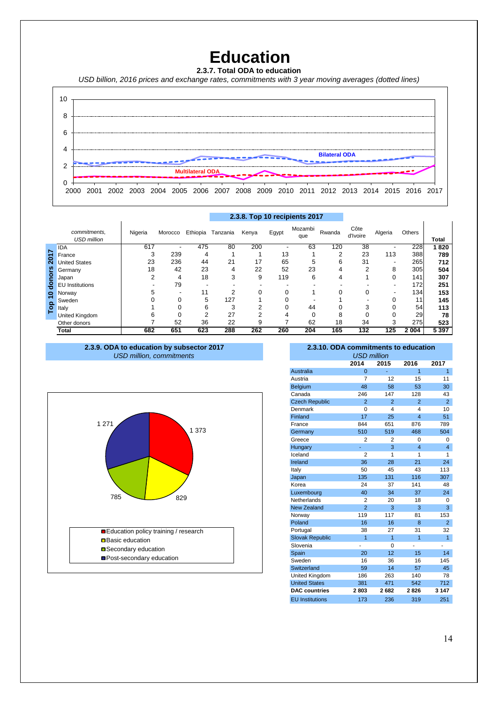### **Education**

**2.3.7. Total ODA to education** 

*USD billion, 2016 prices and exchange rates, commitments with 3 year moving averages (dotted lines)*



|                |                                    |         |         |          |          | 2.3.8. Top 10 recipients 2017 |       |                |        |                  |         |                  |              |
|----------------|------------------------------------|---------|---------|----------|----------|-------------------------------|-------|----------------|--------|------------------|---------|------------------|--------------|
|                | commitments,<br><b>USD million</b> | Nigeria | Morocco | Ethiopia | Tanzania | Kenya                         | Egypt | Mozambi<br>que | Rwanda | Côte<br>d'Ivoire | Algeria | Others           | <b>Total</b> |
| $\overline{ }$ | <b>IDA</b>                         | 617     |         | 475      | 80       | 200                           |       | 63             | 120    | 38               |         | 228              | 1820         |
|                | France                             |         | 239     | 4        |          |                               | 13    |                | ົ      | 23               | 113     | 388              | 789          |
| 201            | <b>United States</b>               | 23      | 236     | 44       | 21       | 17                            | 65    | b              | h      | 31               |         | 265              | 712          |
| ၑၟ             | Germany                            | 18      | 42      | 23       | 4        | 22                            | 52    | 23             |        | ◠                | 8       | 305              | 504          |
| ō              | Japan                              |         | 4       | 18       | 3        | 9                             | 119   | 6              |        |                  |         | 141              | 307          |
| 흥              | <b>EU</b> Institutions             |         | 79      |          |          |                               |       |                |        |                  |         | 172 <sub>1</sub> | 251          |
| 0              | Norway                             |         |         | 11       | ົ        |                               |       |                |        | 0                |         | 134              | 153          |
|                | Sweden                             |         | 0       | 5        | 127      |                               |       |                |        |                  |         | 11               | 145          |
| Top            | Italy                              |         | U       | 6        | 3        |                               |       | 44             |        | 3                |         | 54               | 113          |
|                | United Kingdom                     |         | 0       | c        | 27       |                               |       |                |        |                  |         | 29               | 78           |
|                | Other donors                       |         | 52      | 36       | 22       | 9                             |       | 62             | 18     | 34               | 3       | 275              | 523          |
|                | <b>Total</b>                       | 682     | 651     | 623      | 288      | 262                           | 260   | 204            | 165    | 132              | 125     | 2 0 0 4          | 5 3 9 7      |

**2.3.9. ODA to education by subsector 2017** *USD million, commitments*



#### **2.3.10. ODA commitments to education**

|                | <b>USD million</b> |                         |                         |
|----------------|--------------------|-------------------------|-------------------------|
| 2014           | 2015               | 2016                    | 2017                    |
| $\overline{0}$ |                    | $\overline{1}$          | $\overline{1}$          |
| 7              | 12                 | 15                      | 11                      |
| 48             | 58                 | 53                      | 30                      |
| 246            | 147                | 128                     | 43                      |
| $\overline{2}$ | $\overline{2}$     | $\overline{2}$          | $\overline{2}$          |
| $\Omega$       | 4                  | 4                       | 10                      |
| 17             | 25                 | $\overline{\mathbf{4}}$ | 51                      |
| 844            | 651                | 876                     | 789                     |
| 510            | 519                | 468                     | 504                     |
| $\overline{2}$ | $\overline{2}$     | 0                       | 0                       |
|                | 3                  | $\overline{4}$          | $\overline{\mathbf{4}}$ |
| $\overline{2}$ | 1                  | 1                       | 1                       |
| 36             | 28                 | 21                      | 24                      |
| 50             | 45                 | 43                      | 113                     |
| 135            | 131                | 116                     | 307                     |
| 24             | 37                 | 141                     | 48                      |
| 40             | 34                 | 37                      | 24                      |
| 2              | 20                 | 18                      | 0                       |
| $\overline{2}$ | 3                  | 3                       | 3                       |
| 119            | 117                | 81                      | 153                     |
| 16             | 16                 | 8                       | $\overline{2}$          |
| 38             | 27                 | 31                      | 32                      |
| $\overline{1}$ | $\overline{1}$     | $\overline{1}$          | 1                       |
|                | $\Omega$           |                         |                         |
| 20             | 12                 | 15                      | 14                      |
| 16             | 36                 | 16                      | 145                     |
| 59             | 14                 | 57                      | 45                      |
| 186            | 263                | 140                     | 78                      |
| 381            | 471                | 542                     | 712                     |
| 2803           | 2682               | 2826                    | 3 1 4 7                 |
| 173            | 236                | 319                     | 251                     |
|                |                    |                         |                         |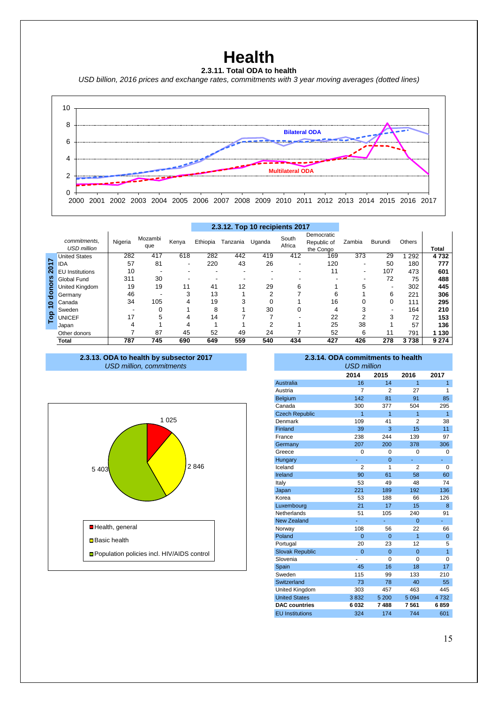### **Health**

#### **2.3.11. Total ODA to health**

*USD billion, 2016 prices and exchange rates, commitments with 3 year moving averages (dotted lines)*



|                    |                                    |         |                |                          |          |          | 2.3.12. Top 10 recipients 2017 |                 |                                        |                          |         |               |         |
|--------------------|------------------------------------|---------|----------------|--------------------------|----------|----------|--------------------------------|-----------------|----------------------------------------|--------------------------|---------|---------------|---------|
|                    | commitments.<br><b>USD</b> million | Nigeria | Mozambi<br>que | Kenya                    | Ethiopia | Tanzania | Uganda                         | South<br>Africa | Democratic<br>Republic of<br>the Congo | Zambia                   | Burundi | <b>Others</b> | Total   |
|                    | <b>United States</b>               | 282     | 417            | 618                      | 282      | 442      | 419                            | 412             | 169                                    | 373                      | 29      | 292           | 4732    |
| 5                  | IDA                                | 57      | 81             | $\overline{\phantom{a}}$ | 220      | 43       | 26                             |                 | 120                                    | ۰                        | 50      | 180           | 777     |
| $\bar{\mathbf{N}}$ | <b>EU</b> Institutions             | 10      |                |                          |          |          |                                |                 | 11                                     | $\overline{\phantom{a}}$ | 107     | 473           | 601     |
|                    | Global Fund                        | 311     | 30             |                          |          |          |                                |                 |                                        |                          | 72      | 75            | 488     |
| nors               | United Kingdom                     | 19      | 19             | 11                       | 41       | 12       | 29                             | 6               |                                        | 5                        |         | 302           | 445     |
| 응                  | Germany                            | 46      |                | 3                        | 13       |          | っ                              |                 | 6                                      |                          | 6       | 221           | 306     |
| $\bullet$          | Canada                             | 34      | 105            | 4                        | 19       | 3        |                                |                 | 16                                     | 0                        | 0       | 111           | 295     |
| $\Omega$           | Sweden                             |         |                |                          | 8        |          | 30                             | 0               | 4                                      | 3                        |         | 164           | 210     |
| ဥ                  | <b>UNICEF</b>                      | 17      | 5              | 4                        | 14       |          |                                |                 | 22                                     | c                        | 3       | 72            | 153     |
|                    | Japan                              |         |                | 4                        |          |          |                                |                 | 25                                     | 38                       |         | 57            | 136     |
|                    | Other donors                       |         | 87             | 45                       | 52       | 49       | 24                             |                 | 52                                     | 6                        | 11      | 791           | 130     |
|                    | Total                              | 787     | 745            | 690                      | 649      | 559      | 540                            | 434             | 427                                    | 426                      | 278     | 3738          | 9 2 7 4 |

#### *USD million, commitments* **2.3.13. ODA to health by subsector 2017 2.3.14. ODA commitments to health**



| 2.3.14. ODA commitments to health |                |                |                |                |  |  |  |  |  |  |  |
|-----------------------------------|----------------|----------------|----------------|----------------|--|--|--|--|--|--|--|
| <b>USD million</b>                |                |                |                |                |  |  |  |  |  |  |  |
|                                   | 2014           | 2015           | 2016           | 2017           |  |  |  |  |  |  |  |
| Australia                         | 16             | 14             | $\overline{1}$ | $\overline{1}$ |  |  |  |  |  |  |  |
| Austria                           | 7              | 2              | 27             | 1              |  |  |  |  |  |  |  |
| Belgium                           | 142            | 81             | 91             | 85             |  |  |  |  |  |  |  |
| Canada                            | 300            | 377            | 504            | 295            |  |  |  |  |  |  |  |
| <b>Czech Republic</b>             | $\overline{1}$ | $\overline{1}$ | 1              | $\overline{1}$ |  |  |  |  |  |  |  |
| Denmark                           | 109            | 41             | $\overline{2}$ | 38             |  |  |  |  |  |  |  |
| Finland                           | 39             | 3              | 15             | 11             |  |  |  |  |  |  |  |
| France                            | 238            | 244            | 139            | 97             |  |  |  |  |  |  |  |
| Germany                           | 207            | 200            | 378            | 306            |  |  |  |  |  |  |  |
| Greece                            | 0              | 0              | 0              | 0              |  |  |  |  |  |  |  |
| Hungary                           | ä,             | $\Omega$       | ä,             | ä,             |  |  |  |  |  |  |  |
| Iceland                           | $\overline{2}$ | 1              | $\overline{2}$ | 0              |  |  |  |  |  |  |  |
| Ireland                           | 90             | 61             | 58             | 60             |  |  |  |  |  |  |  |
| Italy                             | 53             | 49             | 48             | 74             |  |  |  |  |  |  |  |
| Japan                             | 221            | 189            | 192            | 136            |  |  |  |  |  |  |  |
| Korea                             | 53             | 188            | 66             | 126            |  |  |  |  |  |  |  |
| Luxembourg                        | 21             | 17             | 15             | 8              |  |  |  |  |  |  |  |
| Netherlands                       | 51             | 105            | 240            | 91             |  |  |  |  |  |  |  |
| <b>New Zealand</b>                | L,             |                | $\Omega$       | ä,             |  |  |  |  |  |  |  |
| Norway                            | 108            | 56             | 22             | 66             |  |  |  |  |  |  |  |
| Poland                            | $\Omega$       | $\Omega$       | $\overline{1}$ | 0              |  |  |  |  |  |  |  |
| Portugal                          | 20             | 23             | 12             | 5              |  |  |  |  |  |  |  |
| <b>Slovak Republic</b>            | $\Omega$       | $\Omega$       | $\Omega$       | $\overline{1}$ |  |  |  |  |  |  |  |
| Slovenia                          |                | $\Omega$       | 0              | 0              |  |  |  |  |  |  |  |
| Spain                             | 45             | 16             | 18             | 17             |  |  |  |  |  |  |  |
| Sweden                            | 115            | 99             | 133            | 210            |  |  |  |  |  |  |  |
| Switzerland                       | 73             | 78             | 40             | 55             |  |  |  |  |  |  |  |
| United Kingdom                    | 303            | 457            | 463            | 445            |  |  |  |  |  |  |  |
| <b>United States</b>              | 3832           | 5 200          | 5 0 9 4        | 4732           |  |  |  |  |  |  |  |
| <b>DAC</b> countries              | 6032           | 7488           | 7561           | 6859           |  |  |  |  |  |  |  |
| <b>EU Institutions</b>            | 324            | 174            | 744            | 601            |  |  |  |  |  |  |  |
|                                   |                |                |                |                |  |  |  |  |  |  |  |